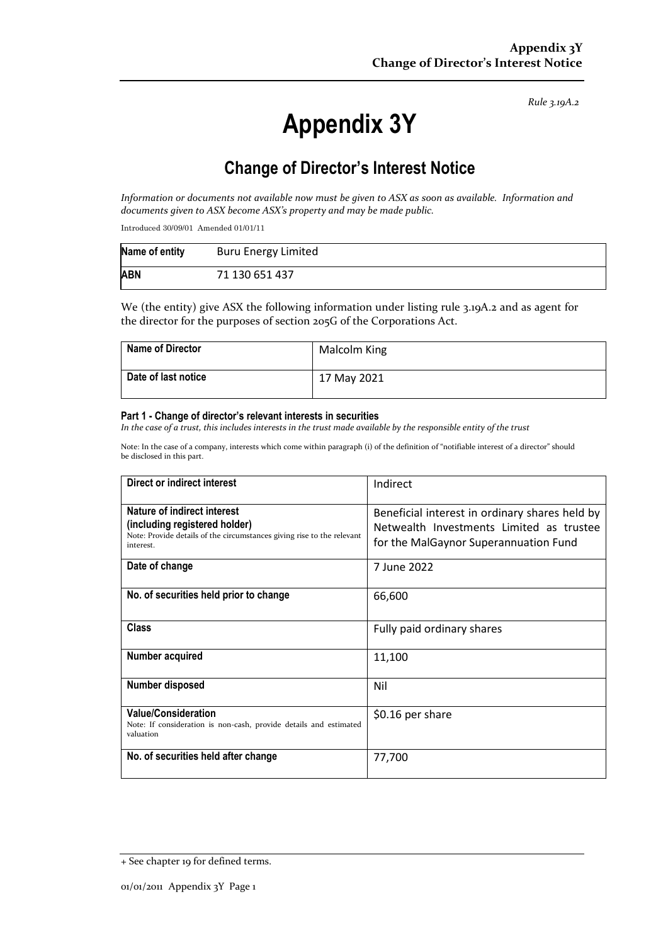*Rule 3.19A.2*

# **Appendix 3Y**

# **Change of Director's Interest Notice**

*Information or documents not available now must be given to ASX as soon as available. Information and documents given to ASX become ASX's property and may be made public.*

Introduced 30/09/01 Amended 01/01/11

| Name of entity | <b>Buru Energy Limited</b> |
|----------------|----------------------------|
| <b>ABN</b>     | 71 130 651 437             |

We (the entity) give ASX the following information under listing rule 3.19A.2 and as agent for the director for the purposes of section 205G of the Corporations Act.

| <b>Name of Director</b> | Malcolm King |
|-------------------------|--------------|
| Date of last notice     | 17 May 2021  |

#### **Part 1 - Change of director's relevant interests in securities**

*In the case of a trust, this includes interests in the trust made available by the responsible entity of the trust*

Note: In the case of a company, interests which come within paragraph (i) of the definition of "notifiable interest of a director" should be disclosed in this part.

| Direct or indirect interest                                                                                                                         | Indirect                                                                                                                            |  |
|-----------------------------------------------------------------------------------------------------------------------------------------------------|-------------------------------------------------------------------------------------------------------------------------------------|--|
| Nature of indirect interest<br>(including registered holder)<br>Note: Provide details of the circumstances giving rise to the relevant<br>interest. | Beneficial interest in ordinary shares held by<br>Netwealth Investments Limited as trustee<br>for the MalGaynor Superannuation Fund |  |
| Date of change                                                                                                                                      | 7 June 2022                                                                                                                         |  |
| No. of securities held prior to change                                                                                                              | 66,600                                                                                                                              |  |
| <b>Class</b>                                                                                                                                        | Fully paid ordinary shares                                                                                                          |  |
| Number acquired                                                                                                                                     | 11,100                                                                                                                              |  |
| Number disposed                                                                                                                                     | Nil                                                                                                                                 |  |
| <b>Value/Consideration</b><br>Note: If consideration is non-cash, provide details and estimated<br>valuation                                        | \$0.16 per share                                                                                                                    |  |
| No. of securities held after change                                                                                                                 | 77,700                                                                                                                              |  |

<sup>+</sup> See chapter 19 for defined terms.